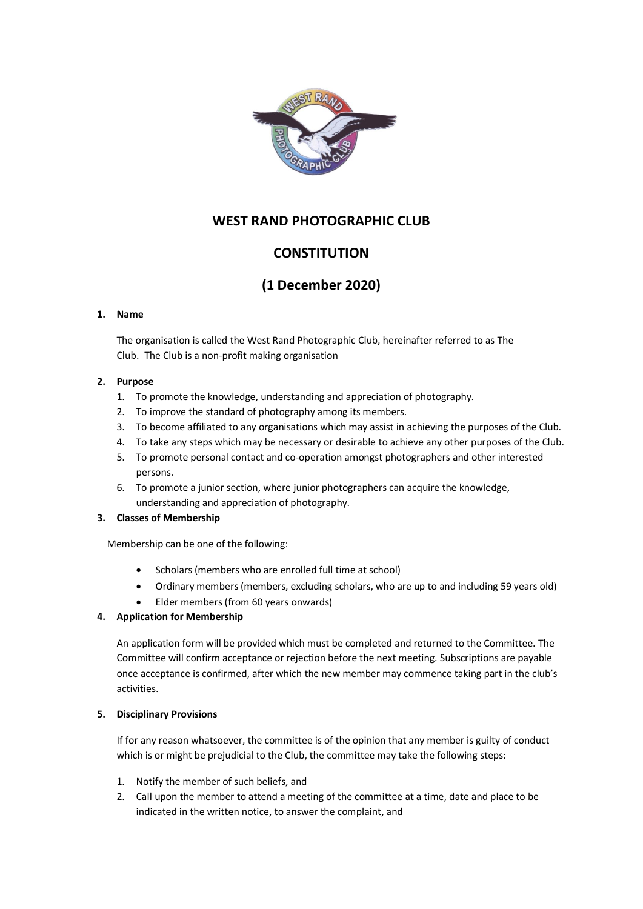

# **WEST RAND PHOTOGRAPHIC CLUB**

# **CONSTITUTION**

# **(1 December 2020)**

### **1. Name**

The organisation is called the West Rand Photographic Club, hereinafter referred to as The Club. The Club is a non-profit making organisation

## **2. Purpose**

- 1. To promote the knowledge, understanding and appreciation of photography.
- 2. To improve the standard of photography among its members.
- 3. To become affiliated to any organisations which may assist in achieving the purposes of the Club.
- 4. To take any steps which may be necessary or desirable to achieve any other purposes of the Club.
- 5. To promote personal contact and co-operation amongst photographers and other interested persons.
- 6. To promote a junior section, where junior photographers can acquire the knowledge, understanding and appreciation of photography.

## **3. Classes of Membership**

Membership can be one of the following:

- Scholars (members who are enrolled full time at school)
- Ordinary members (members, excluding scholars, who are up to and including 59 years old)
- Elder members (from 60 years onwards)

## **4. Application for Membership**

An application form will be provided which must be completed and returned to the Committee. The Committee will confirm acceptance or rejection before the next meeting. Subscriptions are payable once acceptance is confirmed, after which the new member may commence taking part in the club's activities.

## **5. Disciplinary Provisions**

If for any reason whatsoever, the committee is of the opinion that any member is guilty of conduct which is or might be prejudicial to the Club, the committee may take the following steps:

- 1. Notify the member of such beliefs, and
- 2. Call upon the member to attend a meeting of the committee at a time, date and place to be indicated in the written notice, to answer the complaint, and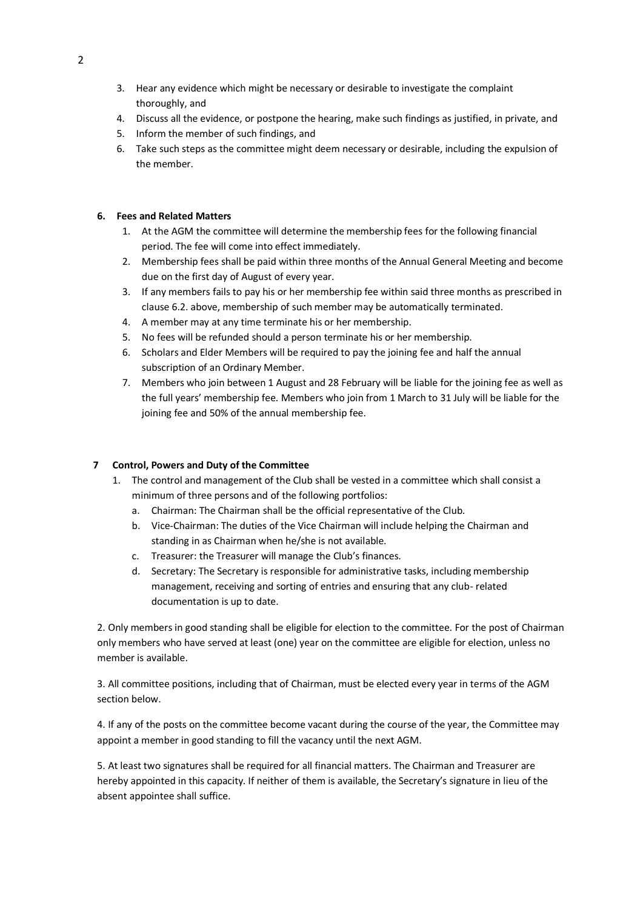- 3. Hear any evidence which might be necessary or desirable to investigate the complaint thoroughly, and
- 4. Discuss all the evidence, or postpone the hearing, make such findings as justified, in private, and
- 5. Inform the member of such findings, and
- 6. Take such steps as the committee might deem necessary or desirable, including the expulsion of the member.

### **6. Fees and Related Matters**

- 1. At the AGM the committee will determine the membership fees for the following financial period. The fee will come into effect immediately.
- 2. Membership fees shall be paid within three months of the Annual General Meeting and become due on the first day of August of every year.
- 3. If any members fails to pay his or her membership fee within said three months as prescribed in clause 6.2. above, membership of such member may be automatically terminated.
- 4. A member may at any time terminate his or her membership.
- 5. No fees will be refunded should a person terminate his or her membership.
- 6. Scholars and Elder Members will be required to pay the joining fee and half the annual subscription of an Ordinary Member.
- 7. Members who join between 1 August and 28 February will be liable for the joining fee as well as the full years' membership fee. Members who join from 1 March to 31 July will be liable for the joining fee and 50% of the annual membership fee.

### **7 Control, Powers and Duty of the Committee**

- 1. The control and management of the Club shall be vested in a committee which shall consist a minimum of three persons and of the following portfolios:
	- a. Chairman: The Chairman shall be the official representative of the Club.
	- b. Vice-Chairman: The duties of the Vice Chairman will include helping the Chairman and standing in as Chairman when he/she is not available.
	- c. Treasurer: the Treasurer will manage the Club's finances.
	- d. Secretary: The Secretary is responsible for administrative tasks, including membership management, receiving and sorting of entries and ensuring that any club- related documentation is up to date.

2. Only members in good standing shall be eligible for election to the committee. For the post of Chairman only members who have served at least (one) year on the committee are eligible for election, unless no member is available.

3. All committee positions, including that of Chairman, must be elected every year in terms of the AGM section below.

4. If any of the posts on the committee become vacant during the course of the year, the Committee may appoint a member in good standing to fill the vacancy until the next AGM.

5. At least two signatures shall be required for all financial matters. The Chairman and Treasurer are hereby appointed in this capacity. If neither of them is available, the Secretary's signature in lieu of the absent appointee shall suffice.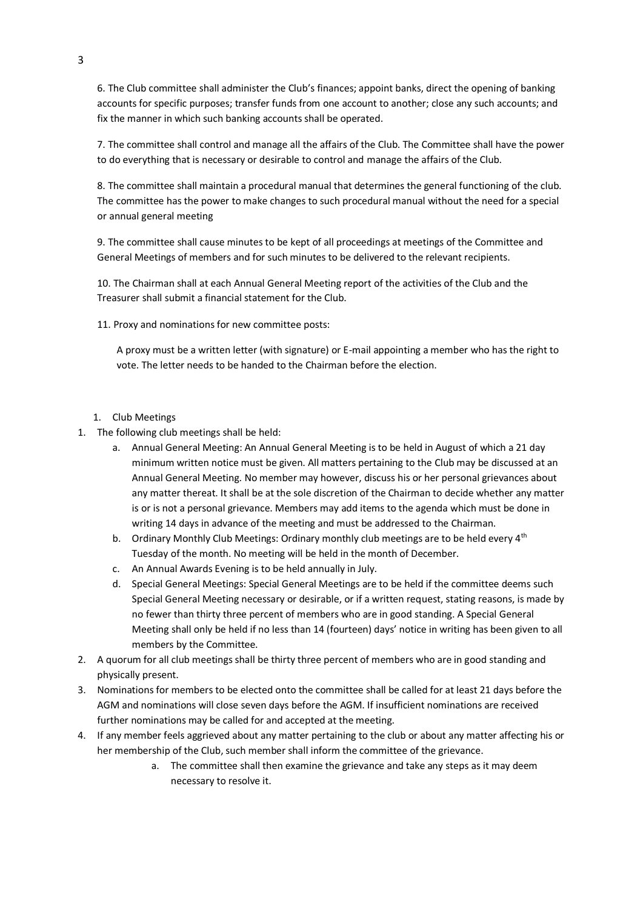6. The Club committee shall administer the Club's finances; appoint banks, direct the opening of banking accounts for specific purposes; transfer funds from one account to another; close any such accounts; and fix the manner in which such banking accounts shall be operated.

7. The committee shall control and manage all the affairs of the Club. The Committee shall have the power to do everything that is necessary or desirable to control and manage the affairs of the Club.

8. The committee shall maintain a procedural manual that determines the general functioning of the club. The committee has the power to make changes to such procedural manual without the need for a special or annual general meeting

9. The committee shall cause minutes to be kept of all proceedings at meetings of the Committee and General Meetings of members and for such minutes to be delivered to the relevant recipients.

10. The Chairman shall at each Annual General Meeting report of the activities of the Club and the Treasurer shall submit a financial statement for the Club.

11. Proxy and nominations for new committee posts:

A proxy must be a written letter (with signature) or E-mail appointing a member who has the right to vote. The letter needs to be handed to the Chairman before the election.

#### 1. Club Meetings

- 1. The following club meetings shall be held:
	- a. Annual General Meeting: An Annual General Meeting is to be held in August of which a 21 day minimum written notice must be given. All matters pertaining to the Club may be discussed at an Annual General Meeting. No member may however, discuss his or her personal grievances about any matter thereat. It shall be at the sole discretion of the Chairman to decide whether any matter is or is not a personal grievance. Members may add items to the agenda which must be done in writing 14 days in advance of the meeting and must be addressed to the Chairman.
	- b. Ordinary Monthly Club Meetings: Ordinary monthly club meetings are to be held every  $4<sup>th</sup>$ Tuesday of the month. No meeting will be held in the month of December.
	- c. An Annual Awards Evening is to be held annually in July.
	- d. Special General Meetings: Special General Meetings are to be held if the committee deems such Special General Meeting necessary or desirable, or if a written request, stating reasons, is made by no fewer than thirty three percent of members who are in good standing. A Special General Meeting shall only be held if no less than 14 (fourteen) days' notice in writing has been given to all members by the Committee.
- 2. A quorum for all club meetings shall be thirty three percent of members who are in good standing and physically present.
- 3. Nominations for members to be elected onto the committee shall be called for at least 21 days before the AGM and nominations will close seven days before the AGM. If insufficient nominations are received further nominations may be called for and accepted at the meeting.
- 4. If any member feels aggrieved about any matter pertaining to the club or about any matter affecting his or her membership of the Club, such member shall inform the committee of the grievance.
	- a. The committee shall then examine the grievance and take any steps as it may deem necessary to resolve it.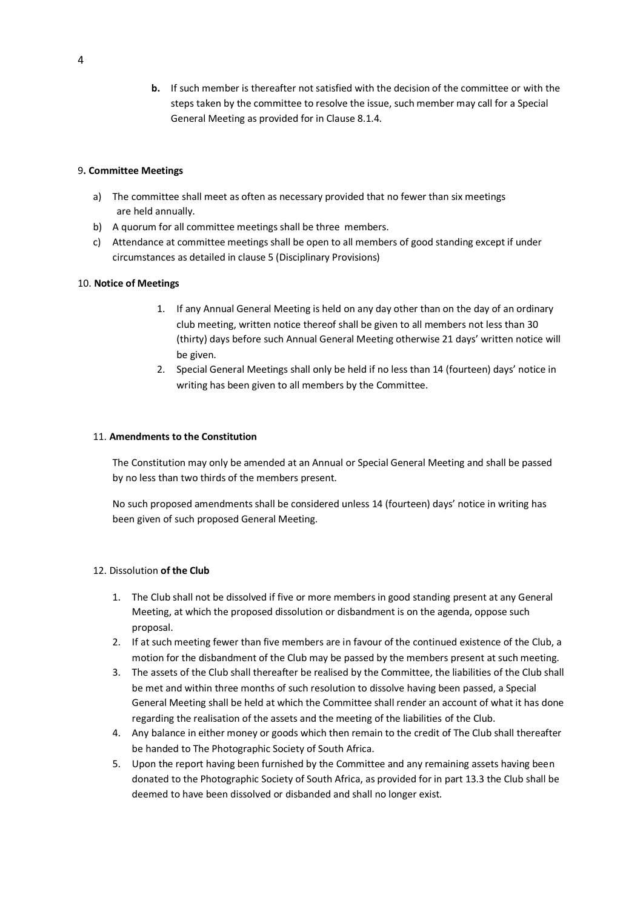**b.** If such member is thereafter not satisfied with the decision of the committee or with the steps taken by the committee to resolve the issue, such member may call for a Special General Meeting as provided for in Clause 8.1.4.

### 9**. Committee Meetings**

- a) The committee shall meet as often as necessary provided that no fewer than six meetings are held annually.
- b) A quorum for all committee meetings shall be three members.
- c) Attendance at committee meetings shall be open to all members of good standing except if under circumstances as detailed in clause 5 (Disciplinary Provisions)

#### 10. **Notice of Meetings**

- 1. If any Annual General Meeting is held on any day other than on the day of an ordinary club meeting, written notice thereof shall be given to all members not less than 30 (thirty) days before such Annual General Meeting otherwise 21 days' written notice will be given.
- 2. Special General Meetings shall only be held if no less than 14 (fourteen) days' notice in writing has been given to all members by the Committee.

#### 11. **Amendments to the Constitution**

The Constitution may only be amended at an Annual or Special General Meeting and shall be passed by no less than two thirds of the members present.

No such proposed amendments shall be considered unless 14 (fourteen) days' notice in writing has been given of such proposed General Meeting.

### 12. Dissolution **of the Club**

- 1. The Club shall not be dissolved if five or more members in good standing present at any General Meeting, at which the proposed dissolution or disbandment is on the agenda, oppose such proposal.
- 2. If at such meeting fewer than five members are in favour of the continued existence of the Club, a motion for the disbandment of the Club may be passed by the members present at such meeting.
- 3. The assets of the Club shall thereafter be realised by the Committee, the liabilities of the Club shall be met and within three months of such resolution to dissolve having been passed, a Special General Meeting shall be held at which the Committee shall render an account of what it has done regarding the realisation of the assets and the meeting of the liabilities of the Club.
- 4. Any balance in either money or goods which then remain to the credit of The Club shall thereafter be handed to The Photographic Society of South Africa.
- 5. Upon the report having been furnished by the Committee and any remaining assets having been donated to the Photographic Society of South Africa, as provided for in part 13.3 the Club shall be deemed to have been dissolved or disbanded and shall no longer exist.